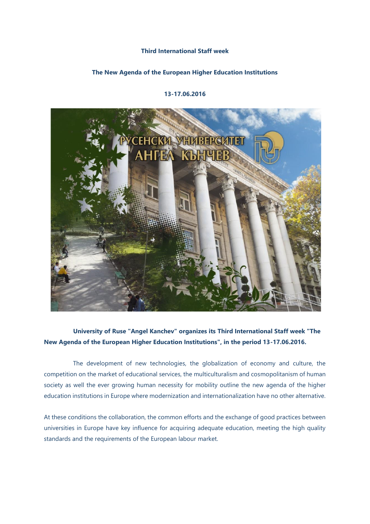## **Third International Staff week**

## **The New Agenda of the European Higher Education Institutions**

## **13-17.06.2016**



## **University of Ruse "Angel Kanchev" organizes its Third International Staff week "The New Agenda of the European Higher Education Institutions", in the period 13-17.06.2016.**

 The development of new technologies, the globalization of economy and culture, the competition on the market of educational services, the multiculturalism and cosmopolitanism of human society as well the ever growing human necessity for mobility outline the new agenda of the higher education institutions in Europe where modernization and internationalization have no other alternative.

At these conditions the collaboration, the common efforts and the exchange of good practices between universities in Europe have key influence for acquiring adequate education, meeting the high quality standards and the requirements of the European labour market.